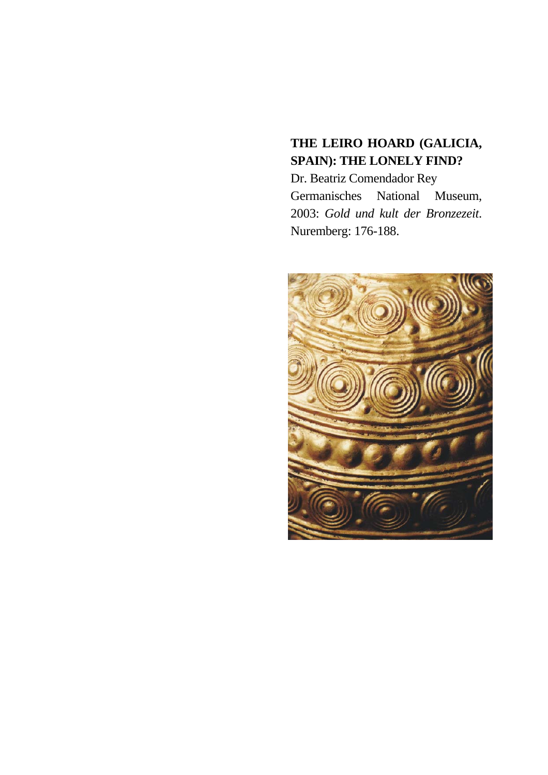# **THE LEIRO HOARD (GALICIA, SPAIN): THE LONELY FIND?**

Dr. Beatriz Comendador Rey Germanisches National Museum, 2003: *Gold und kult der Bronzezeit*. Nuremberg: 176-188.

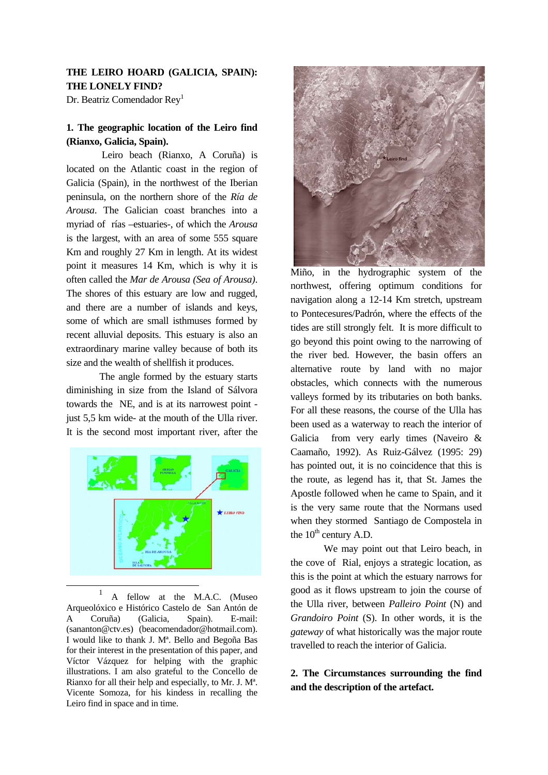# **THE LEIRO HOARD (GALICIA, SPAIN): THE LONELY FIND?**

Dr. Beatriz Comendador Rey<sup>[1](#page-1-0)</sup>

# **1. The geographic location of the Leiro find (Rianxo, Galicia, Spain).**

Leiro beach (Rianxo, A Coruña) is located on the Atlantic coast in the region of Galicia (Spain), in the northwest of the Iberian peninsula, on the northern shore of the *Ría de Arousa*. The Galician coast branches into a myriad of rías –estuaries-, of which the *Arousa* is the largest, with an area of some 555 square Km and roughly 27 Km in length. At its widest point it measures 14 Km, which is why it is often called the *Mar de Arousa (Sea of Arousa)*. The shores of this estuary are low and rugged, and there are a number of islands and keys, some of which are small isthmuses formed by recent alluvial deposits. This estuary is also an extraordinary marine valley because of both its size and the wealth of shellfish it produces.

The angle formed by the estuary starts diminishing in size from the Island of Sálvora towards the NE, and is at its narrowest point just 5,5 km wide- at the mouth of the Ulla river. It is the second most important river, after the

<span id="page-1-0"></span>

<sup>1</sup> A fellow at the M.A.C. (Museo Arqueolóxico e Histórico Castelo de San Antón de A Coruña) (Galicia, Spain). E-mail: (sananton@ctv.es) (beacomendador@hotmail.com). I would like to thank J. Mª. Bello and Begoña Bas for their interest in the presentation of this paper, and Víctor Vázquez for helping with the graphic illustrations. I am also grateful to the Concello de Rianxo for all their help and especially, to Mr. J. Mª. Vicente Somoza, for his kindess in recalling the Leiro find in space and in time.



Miño, in the hydrographic system of the northwest, offering optimum conditions for navigation along a 12-14 Km stretch, upstream to Pontecesures/Padrón, where the effects of the tides are still strongly felt. It is more difficult to go beyond this point owing to the narrowing of the river bed. However, the basin offers an alternative route by land with no major obstacles, which connects with the numerous valleys formed by its tributaries on both banks. For all these reasons, the course of the Ulla has been used as a waterway to reach the interior of Galicia from very early times (Naveiro & Caamaño, 1992). As Ruiz-Gálvez (1995: 29) has pointed out, it is no coincidence that this is the route, as legend has it, that St. James the Apostle followed when he came to Spain, and it is the very same route that the Normans used when they stormed Santiago de Compostela in the  $10^{th}$  century A.D.

We may point out that Leiro beach, in the cove of Rial, enjoys a strategic location, as this is the point at which the estuary narrows for good as it flows upstream to join the course of the Ulla river, between *Palleiro Point* (N) and *Grandoiro Point* (S). In other words, it is the *gateway* of what historically was the major route travelled to reach the interior of Galicia.

# **2. The Circumstances surrounding the find and the description of the artefact.**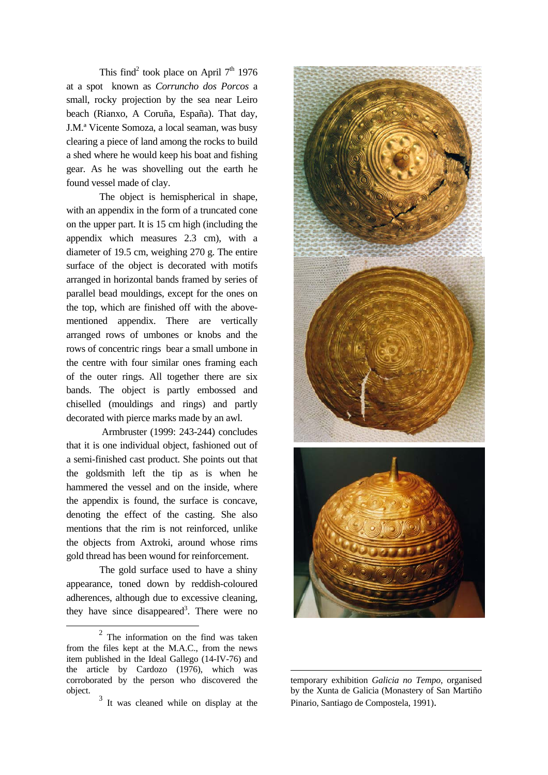This find<sup>[2](#page-2-0)</sup> took place on April  $7<sup>th</sup>$  1976 at a spot known as *Corruncho dos Porcos* a small, rocky projection by the sea near Leiro beach (Rianxo, A Coruña, España). That day, J.M.ª Vicente Somoza, a local seaman, was busy clearing a piece of land among the rocks to build a shed where he would keep his boat and fishing gear. As he was shovelling out the earth he found vessel made of clay.

The object is hemispherical in shape, with an appendix in the form of a truncated cone on the upper part. It is 15 cm high (including the appendix which measures 2.3 cm), with a diameter of 19.5 cm, weighing 270 g. The entire surface of the object is decorated with motifs arranged in horizontal bands framed by series of parallel bead mouldings, except for the ones on the top, which are finished off with the abovementioned appendix. There are vertically arranged rows of umbones or knobs and the rows of concentric rings bear a small umbone in the centre with four similar ones framing each of the outer rings. All together there are six bands. The object is partly embossed and chiselled (mouldings and rings) and partly decorated with pierce marks made by an awl.

Armbruster (1999: 243-244) concludes that it is one individual object, fashioned out of a semi-finished cast product. She points out that the goldsmith left the tip as is when he hammered the vessel and on the inside, where the appendix is found, the surface is concave, denoting the effect of the casting. She also mentions that the rim is not reinforced, unlike the objects from Axtroki, around whose rims gold thread has been wound for reinforcement.

The gold surface used to have a shiny appearance, toned down by reddish-coloured adherences, although due to excessive cleaning, they have since disappeared<sup>3</sup>. There were no

<span id="page-2-0"></span> $\overline{\phantom{a}}$ 



-

 $2$  The information on the find was taken from the files kept at the M.A.C., from the news item published in the Ideal Gallego (14-IV-76) and the article by Cardozo (1976), which was corroborated by the person who discovered the object.

<span id="page-2-1"></span><sup>&</sup>lt;sup>3</sup> It was cleaned while on display at the

temporary exhibition *Galicia no Tempo*, organised by the Xunta de Galicia (Monastery of San Martiño Pinario, Santiago de Compostela, 1991).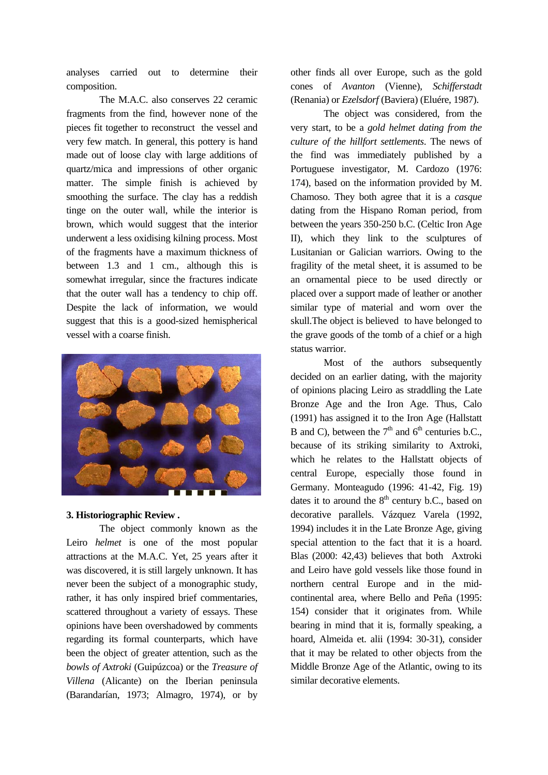analyses carried out to determine their composition.

The M.A.C. also conserves 22 ceramic fragments from the find, however none of the pieces fit together to reconstruct the vessel and very few match. In general, this pottery is hand made out of loose clay with large additions of quartz/mica and impressions of other organic matter. The simple finish is achieved by smoothing the surface. The clay has a reddish tinge on the outer wall, while the interior is brown, which would suggest that the interior underwent a less oxidising kilning process. Most of the fragments have a maximum thickness of between 1.3 and 1 cm., although this is somewhat irregular, since the fractures indicate that the outer wall has a tendency to chip off. Despite the lack of information, we would suggest that this is a good-sized hemispherical vessel with a coarse finish.



## **3. Historiographic Review .**

The object commonly known as the Leiro *helmet* is one of the most popular attractions at the M.A.C. Yet, 25 years after it was discovered, it is still largely unknown. It has never been the subject of a monographic study, rather, it has only inspired brief commentaries, scattered throughout a variety of essays. These opinions have been overshadowed by comments regarding its formal counterparts, which have been the object of greater attention, such as the *bowls of Axtroki* (Guipúzcoa) or the *Treasure of Villena* (Alicante) on the Iberian peninsula (Barandarían, 1973; Almagro, 1974), or by

other finds all over Europe, such as the gold cones of *Avanton* (Vienne), *Schifferstadt* (Renania) or *Ezelsdorf* (Baviera) (Eluére, 1987).

The object was considered, from the very start, to be a *gold helmet dating from the culture of the hillfort settlements*. The news of the find was immediately published by a Portuguese investigator, M. Cardozo (1976: 174), based on the information provided by M. Chamoso. They both agree that it is a *casque*  dating from the Hispano Roman period, from between the years 350-250 b.C. (Celtic Iron Age II), which they link to the sculptures of Lusitanian or Galician warriors. Owing to the fragility of the metal sheet, it is assumed to be an ornamental piece to be used directly or placed over a support made of leather or another similar type of material and worn over the skull.The object is believed to have belonged to the grave goods of the tomb of a chief or a high status warrior.

Most of the authors subsequently decided on an earlier dating, with the majority of opinions placing Leiro as straddling the Late Bronze Age and the Iron Age. Thus, Calo (1991) has assigned it to the Iron Age (Hallstatt B and C), between the  $7<sup>th</sup>$  and  $6<sup>th</sup>$  centuries b.C., because of its striking similarity to Axtroki, which he relates to the Hallstatt objects of central Europe, especially those found in Germany. Monteagudo (1996: 41-42, Fig. 19) dates it to around the  $8<sup>th</sup>$  century b.C., based on decorative parallels. Vázquez Varela (1992, 1994) includes it in the Late Bronze Age, giving special attention to the fact that it is a hoard. Blas (2000: 42,43) believes that both Axtroki and Leiro have gold vessels like those found in northern central Europe and in the midcontinental area, where Bello and Peña (1995: 154) consider that it originates from. While bearing in mind that it is, formally speaking, a hoard, Almeida et. alii (1994: 30-31), consider that it may be related to other objects from the Middle Bronze Age of the Atlantic, owing to its similar decorative elements.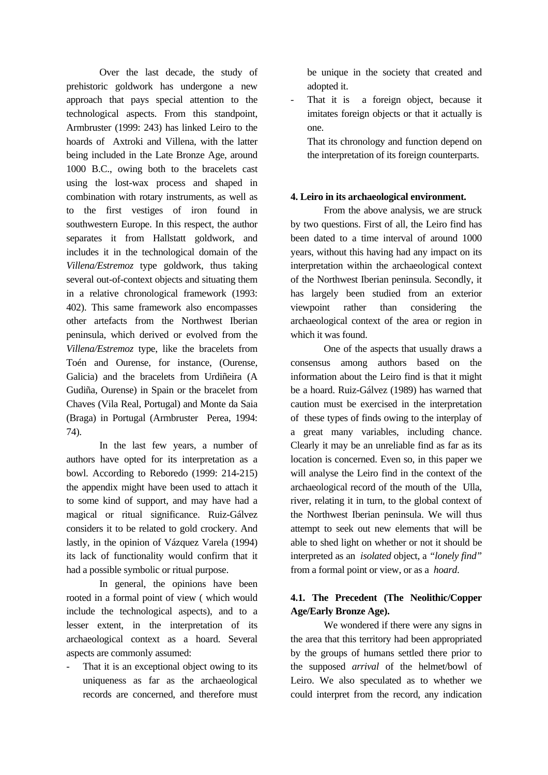Over the last decade, the study of prehistoric goldwork has undergone a new approach that pays special attention to the technological aspects. From this standpoint, Armbruster (1999: 243) has linked Leiro to the hoards of Axtroki and Villena, with the latter being included in the Late Bronze Age, around 1000 B.C., owing both to the bracelets cast using the lost-wax process and shaped in combination with rotary instruments, as well as to the first vestiges of iron found in southwestern Europe. In this respect, the author separates it from Hallstatt goldwork, and includes it in the technological domain of the *Villena/Estremoz* type goldwork, thus taking several out-of-context objects and situating them in a relative chronological framework (1993: 402). This same framework also encompasses other artefacts from the Northwest Iberian peninsula, which derived or evolved from the *Villena/Estremoz* type, like the bracelets from Toén and Ourense, for instance, (Ourense, Galicia) and the bracelets from Urdiñeira (A Gudiña, Ourense) in Spain or the bracelet from Chaves (Vila Real, Portugal) and Monte da Saia (Braga) in Portugal (Armbruster Perea, 1994: 74).

 In the last few years, a number of authors have opted for its interpretation as a bowl. According to Reboredo (1999: 214-215) the appendix might have been used to attach it to some kind of support, and may have had a magical or ritual significance. Ruiz-Gálvez considers it to be related to gold crockery. And lastly, in the opinion of Vázquez Varela (1994) its lack of functionality would confirm that it had a possible symbolic or ritual purpose.

 In general, the opinions have been rooted in a formal point of view ( which would include the technological aspects), and to a lesser extent, in the interpretation of its archaeological context as a hoard. Several aspects are commonly assumed:

That it is an exceptional object owing to its uniqueness as far as the archaeological records are concerned, and therefore must be unique in the society that created and adopted it.

- That it is a foreign object, because it imitates foreign objects or that it actually is one.

 That its chronology and function depend on the interpretation of its foreign counterparts.

## **4. Leiro in its archaeological environment.**

 From the above analysis, we are struck by two questions. First of all, the Leiro find has been dated to a time interval of around 1000 years, without this having had any impact on its interpretation within the archaeological context of the Northwest Iberian peninsula. Secondly, it has largely been studied from an exterior viewpoint rather than considering the archaeological context of the area or region in which it was found.

 One of the aspects that usually draws a consensus among authors based on the information about the Leiro find is that it might be a hoard. Ruiz-Gálvez (1989) has warned that caution must be exercised in the interpretation of these types of finds owing to the interplay of a great many variables, including chance. Clearly it may be an unreliable find as far as its location is concerned. Even so, in this paper we will analyse the Leiro find in the context of the archaeological record of the mouth of the Ulla, river, relating it in turn, to the global context of the Northwest Iberian peninsula. We will thus attempt to seek out new elements that will be able to shed light on whether or not it should be interpreted as an *isolated* object, a *"lonely find"*  from a formal point or view, or as a *hoard*.

## **4.1. The Precedent (The Neolithic/Copper Age/Early Bronze Age).**

 We wondered if there were any signs in the area that this territory had been appropriated by the groups of humans settled there prior to the supposed *arrival* of the helmet/bowl of Leiro. We also speculated as to whether we could interpret from the record, any indication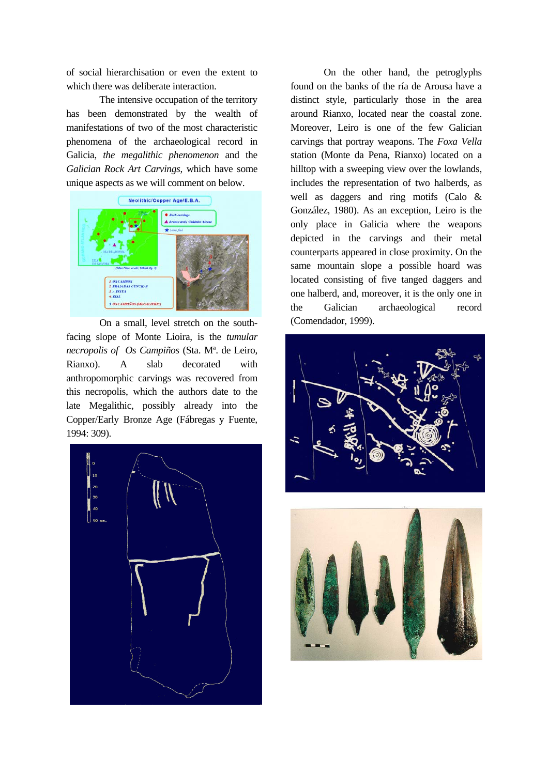of social hierarchisation or even the extent to which there was deliberate interaction.

The intensive occupation of the territory has been demonstrated by the wealth of manifestations of two of the most characteristic phenomena of the archaeological record in Galicia, *the megalithic phenomenon* and the *Galician Rock Art Carvings*, which have some unique aspects as we will comment on below.



On a small, level stretch on the southfacing slope of Monte Lioira, is the *tumular necropolis of Os Campiños* (Sta. Mª. de Leiro, Rianxo). A slab decorated with anthropomorphic carvings was recovered from this necropolis, which the authors date to the late Megalithic, possibly already into the Copper/Early Bronze Age (Fábregas y Fuente, 1994: 309).



On the other hand, the petroglyphs found on the banks of the ría de Arousa have a distinct style, particularly those in the area around Rianxo, located near the coastal zone. Moreover, Leiro is one of the few Galician carvings that portray weapons. The *Foxa Vella*  station (Monte da Pena, Rianxo) located on a hilltop with a sweeping view over the lowlands, includes the representation of two halberds, as well as daggers and ring motifs (Calo & González, 1980). As an exception, Leiro is the only place in Galicia where the weapons depicted in the carvings and their metal counterparts appeared in close proximity. On the same mountain slope a possible hoard was located consisting of five tanged daggers and one halberd, and, moreover, it is the only one in the Galician archaeological record (Comendador, 1999).

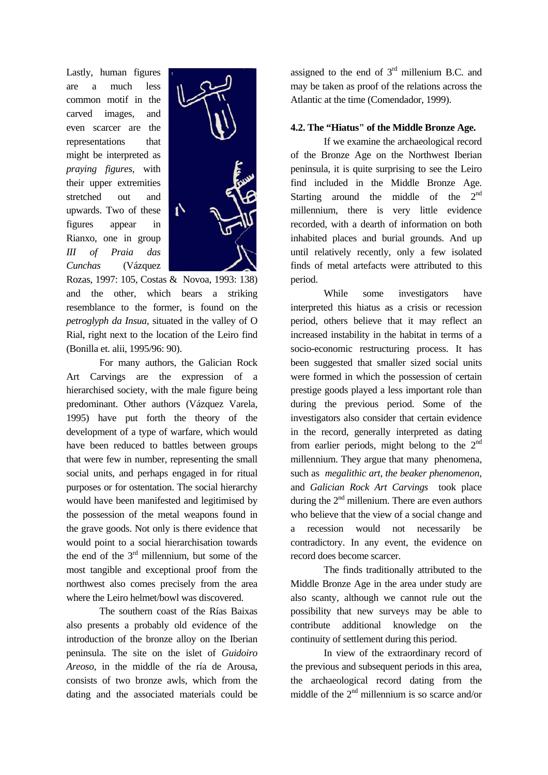Lastly, human figures are a much less common motif in the carved images, and even scarcer are the representations that might be interpreted as *praying figures*, with their upper extremities stretched out and upwards. Two of these figures appear in Rianxo, one in group *III of Praia das Cunchas* (Vázquez



Rozas, 1997: 105, Costas & Novoa, 1993: 138) and the other, which bears a striking resemblance to the former, is found on the *petroglyph da Insua*, situated in the valley of O Rial, right next to the location of the Leiro find (Bonilla et. alii, 1995/96: 90).

For many authors, the Galician Rock Art Carvings are the expression of a hierarchised society, with the male figure being predominant. Other authors (Vázquez Varela, 1995) have put forth the theory of the development of a type of warfare, which would have been reduced to battles between groups that were few in number, representing the small social units, and perhaps engaged in for ritual purposes or for ostentation. The social hierarchy would have been manifested and legitimised by the possession of the metal weapons found in the grave goods. Not only is there evidence that would point to a social hierarchisation towards the end of the  $3<sup>rd</sup>$  millennium, but some of the most tangible and exceptional proof from the northwest also comes precisely from the area where the Leiro helmet/bowl was discovered.

The southern coast of the Rías Baixas also presents a probably old evidence of the introduction of the bronze alloy on the Iberian peninsula. The site on the islet of *Guidoiro Areoso*, in the middle of the ría de Arousa, consists of two bronze awls, which from the dating and the associated materials could be assigned to the end of  $3<sup>rd</sup>$  millenium B.C. and may be taken as proof of the relations across the Atlantic at the time (Comendador, 1999).

## **4.2. The "Hiatus" of the Middle Bronze Age.**

If we examine the archaeological record of the Bronze Age on the Northwest Iberian peninsula, it is quite surprising to see the Leiro find included in the Middle Bronze Age. Starting around the middle of the  $2<sup>nd</sup>$ millennium, there is very little evidence recorded, with a dearth of information on both inhabited places and burial grounds. And up until relatively recently, only a few isolated finds of metal artefacts were attributed to this period.

While some investigators have interpreted this hiatus as a crisis or recession period, others believe that it may reflect an increased instability in the habitat in terms of a socio-economic restructuring process. It has been suggested that smaller sized social units were formed in which the possession of certain prestige goods played a less important role than during the previous period. Some of the investigators also consider that certain evidence in the record, generally interpreted as dating from earlier periods, might belong to the  $2<sup>nd</sup>$ millennium. They argue that many phenomena, such as *megalithic art, the beaker phenomenon,*  and *Galician Rock Art Carvings* took place during the  $2<sup>nd</sup>$  millenium. There are even authors who believe that the view of a social change and a recession would not necessarily be contradictory. In any event, the evidence on record does become scarcer.

The finds traditionally attributed to the Middle Bronze Age in the area under study are also scanty, although we cannot rule out the possibility that new surveys may be able to contribute additional knowledge on the continuity of settlement during this period.

In view of the extraordinary record of the previous and subsequent periods in this area, the archaeological record dating from the middle of the  $2<sup>nd</sup>$  millennium is so scarce and/or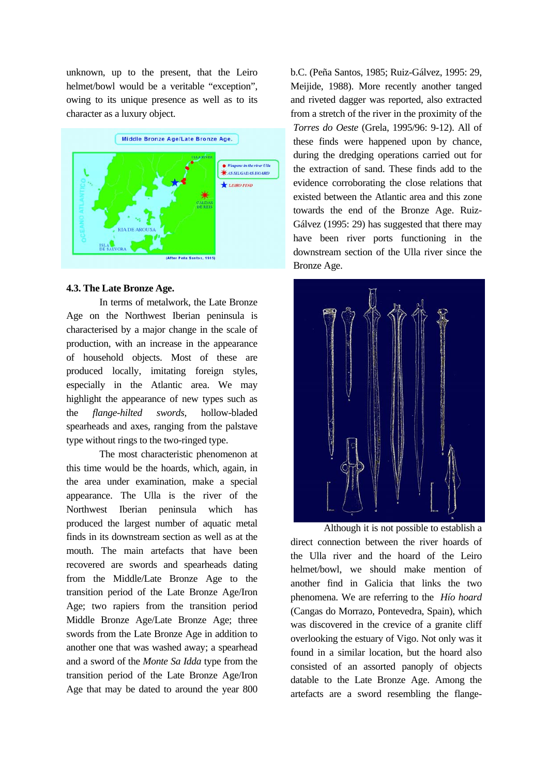unknown, up to the present, that the Leiro helmet/bowl would be a veritable "exception", owing to its unique presence as well as to its character as a luxury object.



#### **4.3. The Late Bronze Age.**

In terms of metalwork, the Late Bronze Age on the Northwest Iberian peninsula is characterised by a major change in the scale of production, with an increase in the appearance of household objects. Most of these are produced locally, imitating foreign styles, especially in the Atlantic area. We may highlight the appearance of new types such as the *flange-hilted swords,* hollow-bladed spearheads and axes, ranging from the palstave type without rings to the two-ringed type.

The most characteristic phenomenon at this time would be the hoards, which, again, in the area under examination, make a special appearance. The Ulla is the river of the Northwest Iberian peninsula which has produced the largest number of aquatic metal finds in its downstream section as well as at the mouth. The main artefacts that have been recovered are swords and spearheads dating from the Middle/Late Bronze Age to the transition period of the Late Bronze Age/Iron Age; two rapiers from the transition period Middle Bronze Age/Late Bronze Age; three swords from the Late Bronze Age in addition to another one that was washed away; a spearhead and a sword of the *Monte Sa Idda* type from the transition period of the Late Bronze Age/Iron Age that may be dated to around the year 800

b.C. (Peña Santos, 1985; Ruiz-Gálvez, 1995: 29, Meijide, 1988). More recently another tanged and riveted dagger was reported, also extracted from a stretch of the river in the proximity of the *Torres do Oeste* (Grela, 1995/96: 9-12). All of these finds were happened upon by chance, during the dredging operations carried out for the extraction of sand. These finds add to the evidence corroborating the close relations that existed between the Atlantic area and this zone towards the end of the Bronze Age. Ruiz-Gálvez (1995: 29) has suggested that there may have been river ports functioning in the downstream section of the Ulla river since the Bronze Age.



Although it is not possible to establish a direct connection between the river hoards of the Ulla river and the hoard of the Leiro helmet/bowl, we should make mention of another find in Galicia that links the two phenomena. We are referring to the *Hío hoard*  (Cangas do Morrazo, Pontevedra, Spain), which was discovered in the crevice of a granite cliff overlooking the estuary of Vigo. Not only was it found in a similar location, but the hoard also consisted of an assorted panoply of objects datable to the Late Bronze Age. Among the artefacts are a sword resembling the flange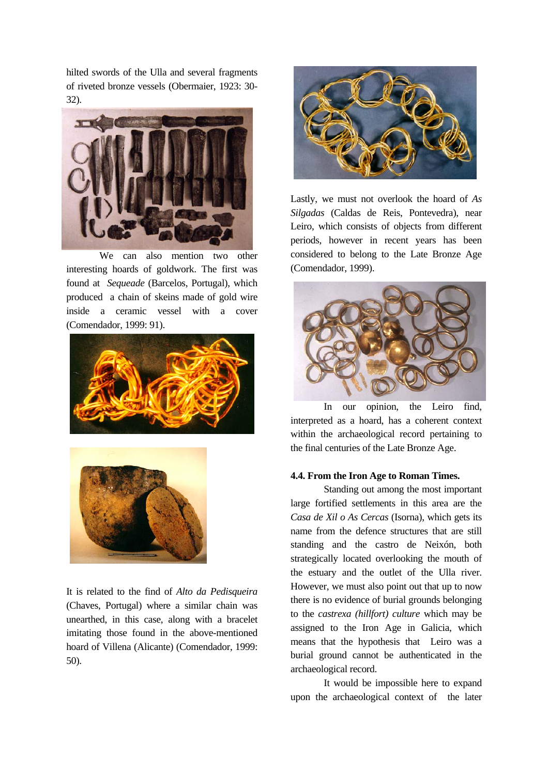hilted swords of the Ulla and several fragments of riveted bronze vessels (Obermaier, 1923: 30- 32).



We can also mention two other interesting hoards of goldwork. The first was found at *Sequeade* (Barcelos, Portugal), which produced a chain of skeins made of gold wire inside a ceramic vessel with a cover (Comendador, 1999: 91).





It is related to the find of *Alto da Pedisqueira* (Chaves, Portugal) where a similar chain was unearthed, in this case, along with a bracelet imitating those found in the above-mentioned hoard of Villena (Alicante) (Comendador, 1999: 50).



Lastly, we must not overlook the hoard of *As Silgadas* (Caldas de Reis, Pontevedra), near Leiro, which consists of objects from different periods, however in recent years has been considered to belong to the Late Bronze Age (Comendador, 1999).



In our opinion, the Leiro find, interpreted as a hoard, has a coherent context within the archaeological record pertaining to the final centuries of the Late Bronze Age.

#### **4.4. From the Iron Age to Roman Times.**

Standing out among the most important large fortified settlements in this area are the *Casa de Xil o As Cercas* (Isorna), which gets its name from the defence structures that are still standing and the castro de Neixón, both strategically located overlooking the mouth of the estuary and the outlet of the Ulla river. However, we must also point out that up to now there is no evidence of burial grounds belonging to the *castrexa (hillfort) culture* which may be assigned to the Iron Age in Galicia, which means that the hypothesis that Leiro was a burial ground cannot be authenticated in the archaeological record.

It would be impossible here to expand upon the archaeological context of the later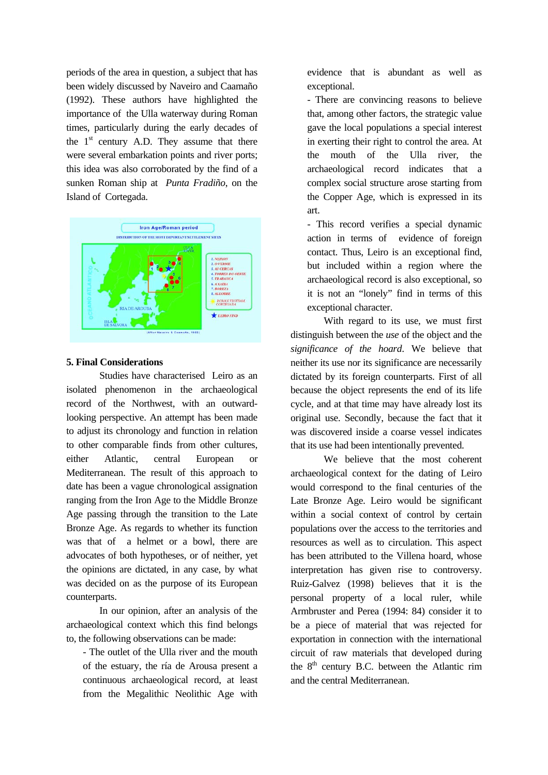periods of the area in question, a subject that has been widely discussed by Naveiro and Caamaño (1992). These authors have highlighted the importance of the Ulla waterway during Roman times, particularly during the early decades of the  $1<sup>st</sup>$  century A.D. They assume that there were several embarkation points and river ports; this idea was also corroborated by the find of a sunken Roman ship at *Punta Fradiño*, on the Island of Cortegada.



#### **5. Final Considerations**

Studies have characterised Leiro as an isolated phenomenon in the archaeological record of the Northwest, with an outwardlooking perspective. An attempt has been made to adjust its chronology and function in relation to other comparable finds from other cultures, either Atlantic, central European or Mediterranean. The result of this approach to date has been a vague chronological assignation ranging from the Iron Age to the Middle Bronze Age passing through the transition to the Late Bronze Age. As regards to whether its function was that of a helmet or a bowl, there are advocates of both hypotheses, or of neither, yet the opinions are dictated, in any case, by what was decided on as the purpose of its European counterparts.

In our opinion, after an analysis of the archaeological context which this find belongs to, the following observations can be made:

- The outlet of the Ulla river and the mouth of the estuary, the ría de Arousa present a continuous archaeological record, at least from the Megalithic Neolithic Age with evidence that is abundant as well as exceptional.

- There are convincing reasons to believe that, among other factors, the strategic value gave the local populations a special interest in exerting their right to control the area. At the mouth of the Ulla river, the archaeological record indicates that a complex social structure arose starting from the Copper Age, which is expressed in its art.

- This record verifies a special dynamic action in terms of evidence of foreign contact. Thus, Leiro is an exceptional find, but included within a region where the archaeological record is also exceptional, so it is not an "lonely" find in terms of this exceptional character.

With regard to its use, we must first distinguish between the *use* of the object and the *significance of the hoard*. We believe that neither its use nor its significance are necessarily dictated by its foreign counterparts. First of all because the object represents the end of its life cycle, and at that time may have already lost its original use. Secondly, because the fact that it was discovered inside a coarse vessel indicates that its use had been intentionally prevented.

We believe that the most coherent archaeological context for the dating of Leiro would correspond to the final centuries of the Late Bronze Age. Leiro would be significant within a social context of control by certain populations over the access to the territories and resources as well as to circulation. This aspect has been attributed to the Villena hoard, whose interpretation has given rise to controversy. Ruiz-Galvez (1998) believes that it is the personal property of a local ruler, while Armbruster and Perea (1994: 84) consider it to be a piece of material that was rejected for exportation in connection with the international circuit of raw materials that developed during the  $8<sup>th</sup>$  century B.C. between the Atlantic rim and the central Mediterranean.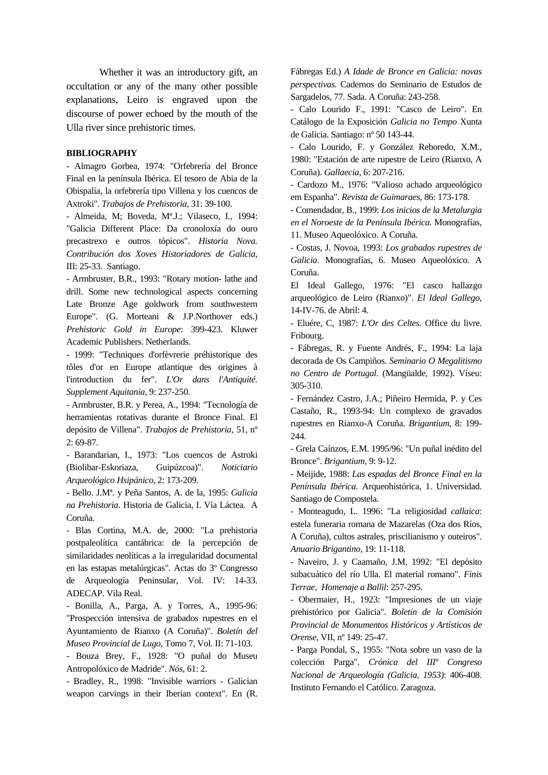Whether it was an introductory gift, an occultation or any of the many other possible explanations, Leiro is engraved upon the discourse of power echoed by the mouth of the Ulla river since prehistoric times.

#### **BIBLIOGRAPHY**

- Almagro Gorbea, 1974: "Orfebrería del Bronce Final en la península Ibérica. El tesoro de Abia de la Obispalía, la orfebrería tipo Villena y los cuencos de Axtroki". *Trabajos de Prehistoria*, 31: 39-100.

- Almeida, M; Boveda, Mª.J.; Vilaseco, I., 1994: "Galicia Different Place: Da cronoloxía do ouro precastrexo e outros tópicos". *Historia Nova. Contribución dos Xoves Historiadores de Galicia*, III: 25-33. Santiago.

- Armbruster, B.R., 1993: "Rotary motion- lathe and drill. Some new technological aspects concerning Late Bronze Age goldwork from southwestern Europe". (G. Morteani & J.P.Northover eds.) *Prehistoric Gold in Europe*: 399-423. Kluwer Academic Publishers. Netherlands.

- 1999: "Techniques d'orfèvrerie préhistorique des tôles d'or en Europe atlantique des origines à l'introduction du fer". *L'Or dans l'Antiquité. Supplement Aquitania*, 9: 237-250.

- Armbruster, B.R. y Perea, A., 1994: "Tecnología de herramientas rotativas durante el Bronce Final. El depósito de Villena". *Trabajos de Prehistoria*, 51, nº 2: 69-87.

- Barandarian, I., 1973: "Los cuencos de Astroki (Biolibar-Eskoriaza, Guipúzcoa)". *Noticiario Arqueológico Hsipánico,* 2: 173-209.

- Bello. J.Mª. y Peña Santos, A. de la, 1995: *Galicia na Prehistoria*. Historia de Galicia, I. Vía Láctea. A Coruña.

- Blas Cortina, M.A. de, 2000: "La prehistoria postpaleolítica cantábrica: de la percepción de similaridades neolíticas a la irregularidad documental en las estapas metalúrgicas". Actas do 3º Congresso de Arqueología Peninsular, Vol. IV: 14-33. ADECAP. Vila Real.

- Bonilla, A., Parga, A. y Torres, A., 1995-96: "Prospección intensiva de grabados rupestres en el Ayuntamiento de Rianxo (A Coruña)". *Boletín del Museo Provincial de Lugo*, Tomo 7, Vol. II: 71-103.

- Bouza Brey, F., 1928: "O puñal do Museu Antropolóxico de Madride". *Nós*, 61: 2.

- Bradley, R., 1998: "Invisible warriors - Galician weapon carvings in their Iberian context". En (R. Fábregas Ed.) *A Idade de Bronce en Galicia: novas perspectivas.* Cadernos do Seminario de Estudos de Sargadelos, 77. Sada. A Coruña: 243-258.

- Calo Lourido F., 1991: "Casco de Leiro". En Catálogo de la Exposición *Galicia no Tempo* Xunta de Galicia. Santiago: nº 50 143-44.

- Calo Lourido, F. y González Reboredo, X.M., 1980: "Estación de arte rupestre de Leiro (Rianxo, A Coruña). *Gallaecia*, 6: 207-216.

- Cardozo M., 1976: "Valioso achado arqueológico em Espanha". *Revista de Guimaraes*, 86: 173-178.

- Comendador, B., 1999: *Los inicios de la Metalurgia en el Noroeste de la Península Ibérica.* Monografías, 11. Museo Aqueolóxico. A Coruña.

- Costas, J. Novoa, 1993: *Los grabados rupestres de Galicia*. Monografías, 6. Museo Aqueolóxico. A Coruña.

El Ideal Gallego, 1976: "El casco hallazgo arqueológico de Leiro (Rianxo)". *El Ideal Gallego*, 14-IV-76. de Abril: 4.

- Eluére, C, 1987: *L'Or des Celtes.* Office du livre. Fribourg.

- Fábregas, R. y Fuente Andrés, F., 1994: La laja decorada de Os Campiños. *Seminario O Megalitismo no Centro de Portugal*. (Mangüalde, 1992). Viseu: 305-310.

- Fernández Castro, J.A.; Piñeiro Hermida, P. y Ces Castaño, R., 1993-94: Un complexo de gravados rupestres en Rianxo-A Coruña. *Brigantium*, 8: 199- 244.

- Grela Caínzos, E.M. 1995/96: "Un puñal inédito del Bronce". *Brigantium*, 9: 9-12.

- Meijide, 1988: *Las espadas del Bronce Final en la Península Ibérica*. Arqueohistórica, 1. Universidad. Santiago de Compostela.

- Monteagudo, L. 1996: "La religiosidad *callaica*: estela funeraria romana de Mazarelas (Oza dos Ríos, A Coruña), cultos astrales, priscilianismo y outeiros". *Anuario Brigantino*, 19: 11-118.

- Naveiro, J. y Caamaño, J.M, 1992: "El depósito subacuático del río Ulla. El material romano". *Finis Terrae, Homenaje a Ballil*: 257-295.

- Obermaier, H., 1923: "Impresiones de un viaje prehistórico por Galicia". *Boletín de la Comisión Provincial de Monumentos Históricos y Artísticos de Orense*, VII, nº 149: 25-47.

- Parga Pondal, S., 1955: "Nota sobre un vaso de la colección Parga". *Crónica del IIIº Congreso Nacional de Arqueología (Galicia, 1953)*: 406-408. Instituto Fernando el Católico. Zaragoza.